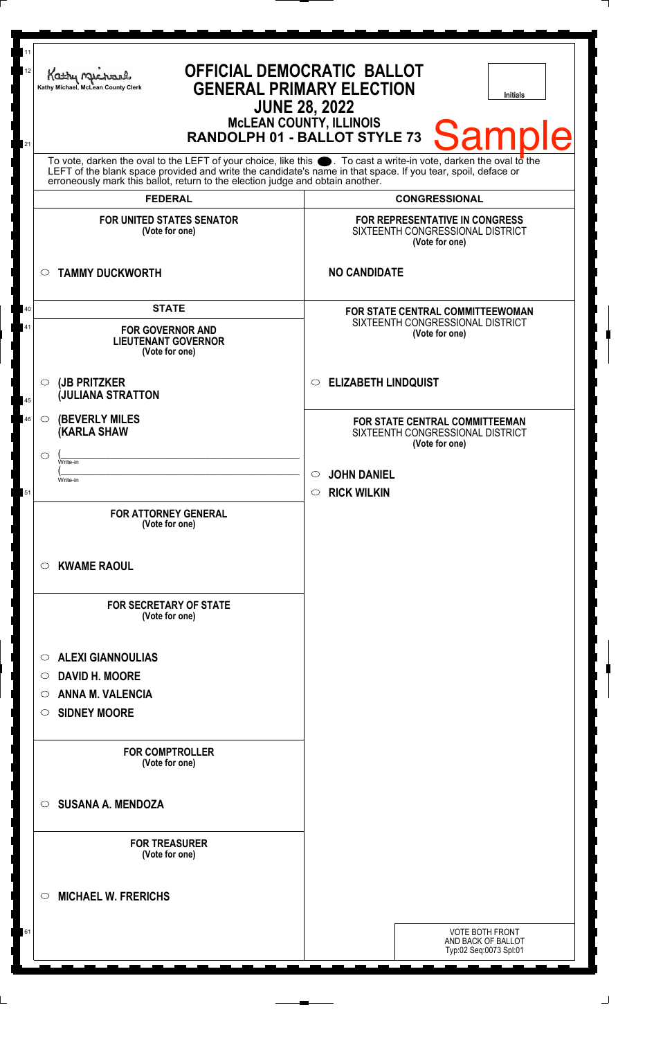| 11<br><b>OFFICIAL DEMOCRATIC BALLOT</b><br>12<br>Kathy Michael<br><b>GENERAL PRIMARY ELECTION</b><br>Kathy Michael, McLean County Clerk<br><b>Initials</b><br><b>JUNE 28, 2022</b><br><b>McLEAN COUNTY, ILLINOIS</b><br><b>Sample</b><br>RANDOLPH 01 - BALLOT STYLE 73<br>21                                           |                                                                                                             |
|------------------------------------------------------------------------------------------------------------------------------------------------------------------------------------------------------------------------------------------------------------------------------------------------------------------------|-------------------------------------------------------------------------------------------------------------|
| To vote, darken the oval to the LEFT of your choice, like this $\bullet$ . To cast a write-in vote, darken the oval to the LEFT of the blank space provided and write the candidate's name in that space. If you tear, spoil, deface<br>erroneously mark this ballot, return to the election judge and obtain another. |                                                                                                             |
| <b>FEDERAL</b>                                                                                                                                                                                                                                                                                                         | <b>CONGRESSIONAL</b>                                                                                        |
| <b>FOR UNITED STATES SENATOR</b><br>(Vote for one)                                                                                                                                                                                                                                                                     | FOR REPRESENTATIVE IN CONGRESS<br>SIXTEENTH CONGRESSIONAL DISTRICT<br>(Vote for one)                        |
| <b>TAMMY DUCKWORTH</b><br>$\circ$                                                                                                                                                                                                                                                                                      | <b>NO CANDIDATE</b>                                                                                         |
| <b>STATE</b><br><b>FOR GOVERNOR AND</b><br><b>LIEUTENANT GOVERNOR</b><br>(Vote for one)                                                                                                                                                                                                                                | FOR STATE CENTRAL COMMITTEEWOMAN<br>SIXTEENTH CONGRESSIONAL DISTRICT<br>(Vote for one)                      |
| (JB PRITZKER<br>$\circ$<br><b>JULIANA STRATTON</b>                                                                                                                                                                                                                                                                     | <b>ELIZABETH LINDQUIST</b><br>$\circ$                                                                       |
| <b>(BEVERLY MILES)</b><br>$\circ$<br><b>(KARLA SHAW</b><br>$\circ$<br>Write-in<br>Write-in                                                                                                                                                                                                                             | FOR STATE CENTRAL COMMITTEEMAN<br>SIXTEENTH CONGRESSIONAL DISTRICT<br>(Vote for one)<br>$\circ$ JOHN DANIEL |
| <b>FOR ATTORNEY GENERAL</b><br>(Vote for one)                                                                                                                                                                                                                                                                          | <b>RICK WILKIN</b><br>$\bigcirc$                                                                            |
| $\circ$ KWAME RAOUL<br><b>FOR SECRETARY OF STATE</b><br>(Vote for one)                                                                                                                                                                                                                                                 |                                                                                                             |
| <b>ALEXI GIANNOULIAS</b><br>$\circ$<br><b>DAVID H. MOORE</b><br>$\circ$<br><b>ANNA M. VALENCIA</b><br>O<br><b>SIDNEY MOORE</b><br>$\circ$                                                                                                                                                                              |                                                                                                             |
| <b>FOR COMPTROLLER</b><br>(Vote for one)                                                                                                                                                                                                                                                                               |                                                                                                             |
| <b>SUSANA A. MENDOZA</b><br>$\circ$                                                                                                                                                                                                                                                                                    |                                                                                                             |
| <b>FOR TREASURER</b><br>(Vote for one)                                                                                                                                                                                                                                                                                 |                                                                                                             |
| <b>MICHAEL W. FRERICHS</b><br>$\circ$                                                                                                                                                                                                                                                                                  |                                                                                                             |
|                                                                                                                                                                                                                                                                                                                        | <b>VOTE BOTH FRONT</b><br>AND BACK OF BALLOT<br>Typ:02 Seq:0073 Spl:01                                      |

 $\Box$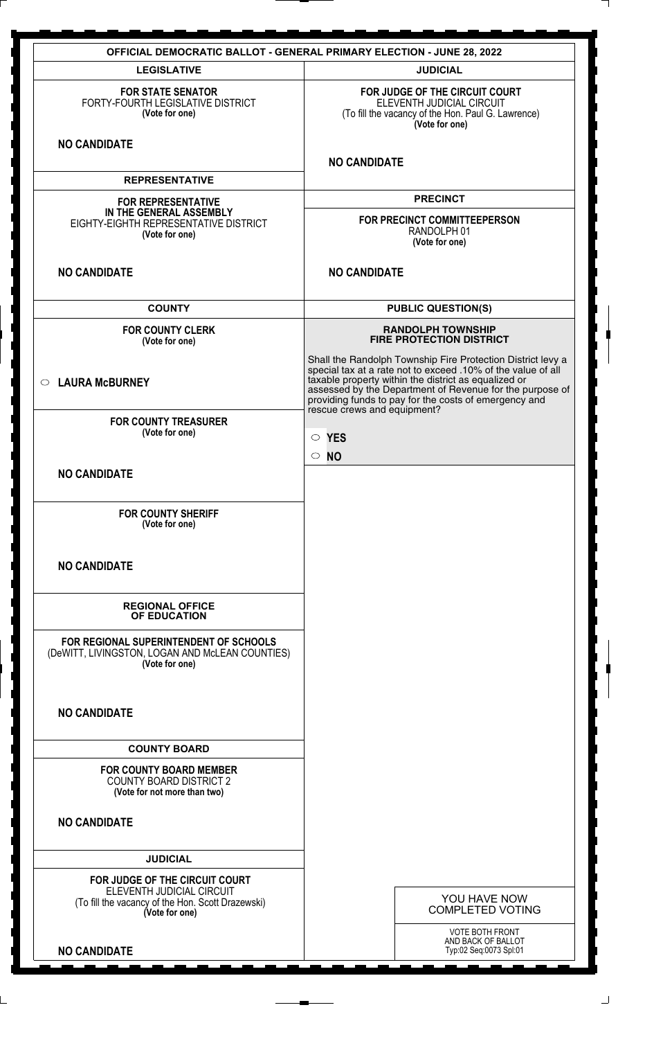|                                                                                                                                    | <b>OFFICIAL DEMOCRATIC BALLOT - GENERAL PRIMARY ELECTION - JUNE 28, 2022</b>                                                                                                                                                                                                                                                         |
|------------------------------------------------------------------------------------------------------------------------------------|--------------------------------------------------------------------------------------------------------------------------------------------------------------------------------------------------------------------------------------------------------------------------------------------------------------------------------------|
| <b>LEGISLATIVE</b>                                                                                                                 | <b>JUDICIAL</b>                                                                                                                                                                                                                                                                                                                      |
| <b>FOR STATE SENATOR</b><br>FORTY-FOURTH LEGISLATIVE DISTRICT<br>(Vote for one)                                                    | FOR JUDGE OF THE CIRCUIT COURT<br>ELEVENTH JUDICIAL CIRCUIT<br>(To fill the vacancy of the Hon. Paul G. Lawrence)<br>(Vote for one)                                                                                                                                                                                                  |
| <b>NO CANDIDATE</b>                                                                                                                | <b>NO CANDIDATE</b>                                                                                                                                                                                                                                                                                                                  |
| <b>REPRESENTATIVE</b>                                                                                                              |                                                                                                                                                                                                                                                                                                                                      |
| <b>FOR REPRESENTATIVE</b><br>IN THE GENERAL ASSEMBLY<br>EIGHTY-EIGHTH REPRESENTATIVE DISTRICT<br>(Vote for one)                    | <b>PRECINCT</b><br>FOR PRECINCT COMMITTEEPERSON<br>RANDOLPH 01<br>(Vote for one)                                                                                                                                                                                                                                                     |
| <b>NO CANDIDATE</b>                                                                                                                | <b>NO CANDIDATE</b>                                                                                                                                                                                                                                                                                                                  |
| <b>COUNTY</b>                                                                                                                      | <b>PUBLIC QUESTION(S)</b>                                                                                                                                                                                                                                                                                                            |
| <b>FOR COUNTY CLERK</b><br>(Vote for one)                                                                                          | <b>RANDOLPH TOWNSHIP</b><br><b>FIRE PROTECTION DISTRICT</b>                                                                                                                                                                                                                                                                          |
| $\circ$ LAURA McBURNEY                                                                                                             | Shall the Randolph Township Fire Protection District levy a special tax at a rate not to exceed .10% of the value of all<br>taxable property within the district as equalized or<br>assessed by the Department of Revenue for the purpose of<br>providing funds to pay for the costs of emergency and<br>rescue crews and equipment? |
| <b>FOR COUNTY TREASURER</b><br>(Vote for one)                                                                                      | $\circ$ YES<br>$\circ$ NO                                                                                                                                                                                                                                                                                                            |
| <b>NO CANDIDATE</b>                                                                                                                |                                                                                                                                                                                                                                                                                                                                      |
| <b>FOR COUNTY SHERIFF</b><br>(Vote for one)                                                                                        |                                                                                                                                                                                                                                                                                                                                      |
| <b>NO CANDIDATE</b>                                                                                                                |                                                                                                                                                                                                                                                                                                                                      |
| <b>REGIONAL OFFICE</b><br>OF EDUCATION                                                                                             |                                                                                                                                                                                                                                                                                                                                      |
| FOR REGIONAL SUPERINTENDENT OF SCHOOLS<br>(DeWITT, LIVINGSTON, LOGAN AND McLEAN COUNTIES)<br>(Vote for one)                        |                                                                                                                                                                                                                                                                                                                                      |
| <b>NO CANDIDATE</b>                                                                                                                |                                                                                                                                                                                                                                                                                                                                      |
| <b>COUNTY BOARD</b>                                                                                                                |                                                                                                                                                                                                                                                                                                                                      |
| <b>FOR COUNTY BOARD MEMBER</b><br><b>COUNTY BOARD DISTRICT 2</b><br>(Vote for not more than two)                                   |                                                                                                                                                                                                                                                                                                                                      |
| <b>NO CANDIDATE</b>                                                                                                                |                                                                                                                                                                                                                                                                                                                                      |
| <b>JUDICIAL</b>                                                                                                                    |                                                                                                                                                                                                                                                                                                                                      |
| FOR JUDGE OF THE CIRCUIT COURT<br>ELEVENTH JUDICIAL CIRCUIT<br>(To fill the vacancy of the Hon. Scott Drazewski)<br>(Vote for one) | YOU HAVE NOW<br><b>COMPLETED VOTING</b>                                                                                                                                                                                                                                                                                              |
| <b>NO CANDIDATE</b>                                                                                                                | <b>VOTE BOTH FRONT</b><br>AND BACK OF BALLOT<br>Typ:02 Seq:0073 Spl:01                                                                                                                                                                                                                                                               |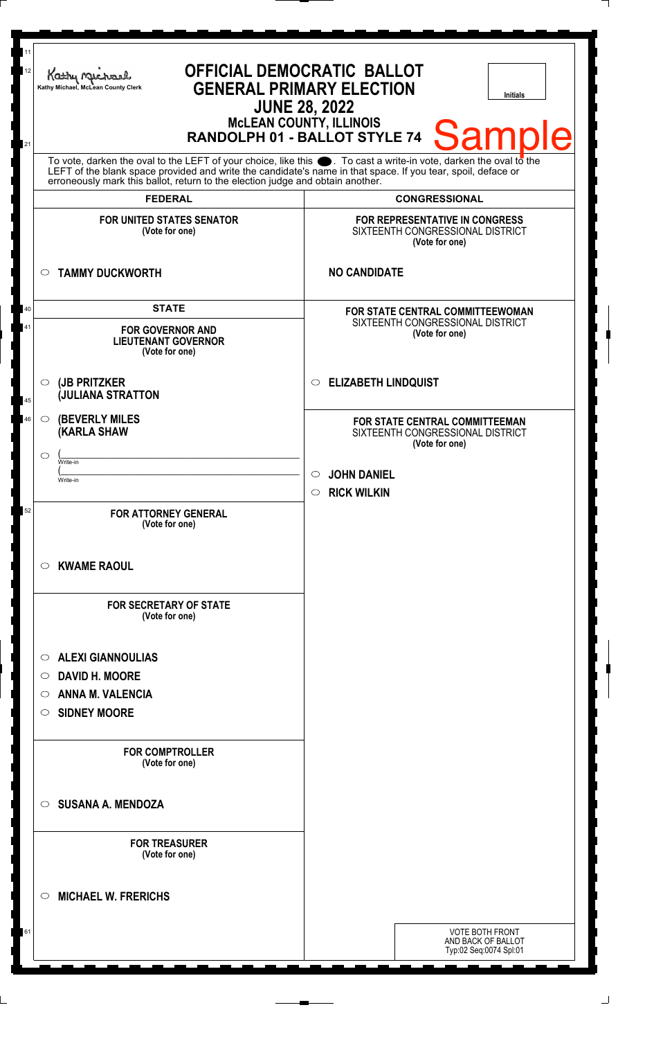| 11<br>12<br>21 | <b>OFFICIAL DEMOCRATIC BALLOT</b><br>Kathy Michael<br><b>GENERAL PRIMARY ELECTION</b><br>Kathy Michael, McLean County Clerk<br><b>Initials</b><br><b>JUNE 28, 2022</b><br><b>MCLEAN COUNTY, ILLINOIS</b><br><b>Sample</b><br>RANDOLPH 01 - BALLOT STYLE 74                                                             |                                                                                        |
|----------------|------------------------------------------------------------------------------------------------------------------------------------------------------------------------------------------------------------------------------------------------------------------------------------------------------------------------|----------------------------------------------------------------------------------------|
|                | To vote, darken the oval to the LEFT of your choice, like this $\bullet$ . To cast a write-in vote, darken the oval to the LEFT of the blank space provided and write the candidate's name in that space. If you tear, spoil, deface<br>erroneously mark this ballot, return to the election judge and obtain another. |                                                                                        |
|                | <b>FEDERAL</b>                                                                                                                                                                                                                                                                                                         | <b>CONGRESSIONAL</b>                                                                   |
|                | <b>FOR UNITED STATES SENATOR</b><br>(Vote for one)                                                                                                                                                                                                                                                                     | FOR REPRESENTATIVE IN CONGRESS<br>SIXTEENTH CONGRESSIONAL DISTRICT<br>(Vote for one)   |
|                | <b>TAMMY DUCKWORTH</b><br>$\circ$                                                                                                                                                                                                                                                                                      | <b>NO CANDIDATE</b>                                                                    |
| 40<br>41       | <b>STATE</b><br><b>FOR GOVERNOR AND</b><br><b>LIEUTENANT GOVERNOR</b><br>(Vote for one)                                                                                                                                                                                                                                | FOR STATE CENTRAL COMMITTEEWOMAN<br>SIXTEENTH CONGRESSIONAL DISTRICT<br>(Vote for one) |
| 45             | (JB PRITZKER<br>$\circ$<br><b>JULIANA STRATTON</b>                                                                                                                                                                                                                                                                     | <b>ELIZABETH LINDQUIST</b><br>$\circ$                                                  |
| 46             | <b>(BEVERLY MILES)</b><br>$\circ$<br><b>(KARLA SHAW</b><br>$\circ$<br>Write-in                                                                                                                                                                                                                                         | FOR STATE CENTRAL COMMITTEEMAN<br>SIXTEENTH CONGRESSIONAL DISTRICT<br>(Vote for one)   |
|                | Write-in                                                                                                                                                                                                                                                                                                               | $\circ$ JOHN DANIEL<br><b>RICK WILKIN</b><br>$\circ$                                   |
| 52             | <b>FOR ATTORNEY GENERAL</b><br>(Vote for one)                                                                                                                                                                                                                                                                          |                                                                                        |
|                | $\circ$ KWAME RAOUL                                                                                                                                                                                                                                                                                                    |                                                                                        |
|                | <b>FOR SECRETARY OF STATE</b><br>(Vote for one)                                                                                                                                                                                                                                                                        |                                                                                        |
|                | <b>ALEXI GIANNOULIAS</b><br>$\circ$                                                                                                                                                                                                                                                                                    |                                                                                        |
|                | <b>DAVID H. MOORE</b><br>$\circ$                                                                                                                                                                                                                                                                                       |                                                                                        |
|                | <b>ANNA M. VALENCIA</b><br>$\circ$<br><b>SIDNEY MOORE</b><br>$\circ$                                                                                                                                                                                                                                                   |                                                                                        |
|                | <b>FOR COMPTROLLER</b><br>(Vote for one)                                                                                                                                                                                                                                                                               |                                                                                        |
|                | <b>SUSANA A. MENDOZA</b><br>$\circ$                                                                                                                                                                                                                                                                                    |                                                                                        |
|                | <b>FOR TREASURER</b><br>(Vote for one)                                                                                                                                                                                                                                                                                 |                                                                                        |
|                | <b>MICHAEL W. FRERICHS</b><br>$\circ$                                                                                                                                                                                                                                                                                  |                                                                                        |
| 61             |                                                                                                                                                                                                                                                                                                                        | <b>VOTE BOTH FRONT</b><br>AND BACK OF BALLOT<br>Typ:02 Seq:0074 Spl:01                 |